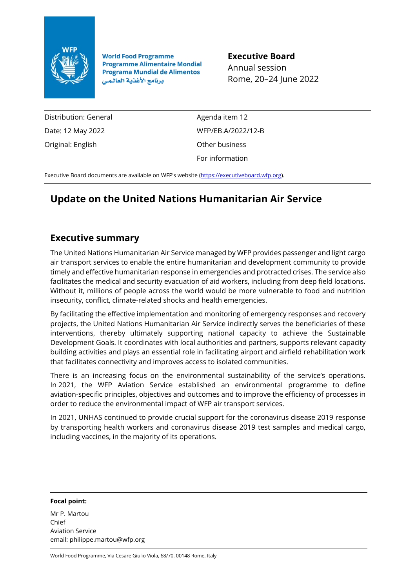

**World Food Programme Programme Alimentaire Mondial Programa Mundial de Alimentos** برنامج الأغذية العالمي

**Executive Board** Annual session Rome, 20–24 June 2022

Distribution: General Date: 12 May 2022 Original: English

Agenda item 12 WFP/EB.A/2022/12-B Other business For information

Executive Board documents are available on WFP's website ([https://executiveboard.wfp.org\)](https://executiveboard.wfp.org/).

# **Update on the United Nations Humanitarian Air Service**

# **Executive summary**

The United Nations Humanitarian Air Service managed by WFP provides passenger and light cargo air transport services to enable the entire humanitarian and development community to provide timely and effective humanitarian response in emergencies and protracted crises. The service also facilitates the medical and security evacuation of aid workers, including from deep field locations. Without it, millions of people across the world would be more vulnerable to food and nutrition insecurity, conflict, climate-related shocks and health emergencies.

By facilitating the effective implementation and monitoring of emergency responses and recovery projects, the United Nations Humanitarian Air Service indirectly serves the beneficiaries of these interventions, thereby ultimately supporting national capacity to achieve the Sustainable Development Goals. It coordinates with local authorities and partners, supports relevant capacity building activities and plays an essential role in facilitating airport and airfield rehabilitation work that facilitates connectivity and improves access to isolated communities.

There is an increasing focus on the environmental sustainability of the service's operations. In 2021, the WFP Aviation Service established an environmental programme to define aviation-specific principles, objectives and outcomes and to improve the efficiency of processes in order to reduce the environmental impact of WFP air transport services.

In 2021, UNHAS continued to provide crucial support for the coronavirus disease 2019 response by transporting health workers and coronavirus disease 2019 test samples and medical cargo, including vaccines, in the majority of its operations.

#### **Focal point:**

Mr P. Martou Chief Aviation Service email: philippe.martou@wfp.org

World Food Programme, Via Cesare Giulio Viola, 68/70, 00148 Rome, Italy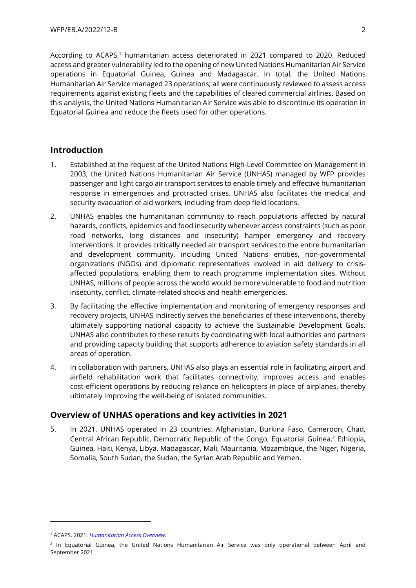According to ACAPS,<sup>1</sup> humanitarian access deteriorated in 2021 compared to 2020. Reduced access and greater vulnerability led to the opening of new United Nations Humanitarian Air Service operations in Equatorial Guinea, Guinea and Madagascar. In total, the United Nations Humanitarian Air Service managed 23 operations; all were continuously reviewed to assess access requirements against existing fleets and the capabilities of cleared commercial airlines. Based on this analysis, the United Nations Humanitarian Air Service was able to discontinue its operation in Equatorial Guinea and reduce the fleets used for other operations.

## **Introduction**

- 1. Established at the request of the United Nations High-Level Committee on Management in 2003, the United Nations Humanitarian Air Service (UNHAS) managed by WFP provides passenger and light cargo air transport services to enable timely and effective humanitarian response in emergencies and protracted crises. UNHAS also facilitates the medical and security evacuation of aid workers, including from deep field locations.
- 2. UNHAS enables the humanitarian community to reach populations affected by natural hazards, conflicts, epidemics and food insecurity whenever access constraints (such as poor road networks, long distances and insecurity) hamper emergency and recovery interventions. It provides critically needed air transport services to the entire humanitarian and development community, including United Nations entities, non-governmental organizations (NGOs) and diplomatic representatives involved in aid delivery to crisisaffected populations, enabling them to reach programme implementation sites. Without UNHAS, millions of people across the world would be more vulnerable to food and nutrition insecurity, conflict, climate-related shocks and health emergencies.
- 3. By facilitating the effective implementation and monitoring of emergency responses and recovery projects, UNHAS indirectly serves the beneficiaries of these interventions, thereby ultimately supporting national capacity to achieve the Sustainable Development Goals. UNHAS also contributes to these results by coordinating with local authorities and partners and providing capacity building that supports adherence to aviation safety standards in all areas of operation.
- 4. In collaboration with partners, UNHAS also plays an essential role in facilitating airport and airfield rehabilitation work that facilitates connectivity, improves access and enables cost-efficient operations by reducing reliance on helicopters in place of airplanes, thereby ultimately improving the well-being of isolated communities.

# **Overview of UNHAS operations and key activities in 2021**

5. In 2021, UNHAS operated in 23 countries: Afghanistan, Burkina Faso, Cameroon, Chad, Central African Republic, Democratic Republic of the Congo, Equatorial Guinea, <sup>2</sup> Ethiopia, Guinea, Haiti, Kenya, Libya, Madagascar, Mali, Mauritania, Mozambique, the Niger, Nigeria, Somalia, South Sudan, the Sudan, the Syrian Arab Republic and Yemen.

<sup>1</sup> ACAPS. 2021. *[Humanitarian Access Overview](https://www.acaps.org/sites/acaps/files/products/files/20210719_acaps_humanitarian_access_overview_july_2021.pdf)*.

<sup>&</sup>lt;sup>2</sup> In Equatorial Guinea, the United Nations Humanitarian Air Service was only operational between April and September 2021.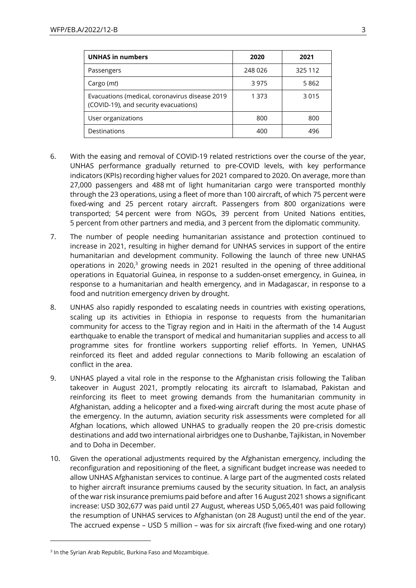| <b>UNHAS in numbers</b>                                                                 | 2020    | 2021    |
|-----------------------------------------------------------------------------------------|---------|---------|
| Passengers                                                                              | 248 026 | 325 112 |
| Cargo ( <i>mt</i> )                                                                     | 3975    | 5862    |
| Evacuations (medical, coronavirus disease 2019<br>(COVID-19), and security evacuations) | 1 3 7 3 | 3015    |
| User organizations                                                                      | 800     | 800     |
| Destinations                                                                            | 400     | 496     |

- 6. With the easing and removal of COVID-19 related restrictions over the course of the year, UNHAS performance gradually returned to pre-COVID levels, with key performance indicators (KPIs) recording higher values for 2021 compared to 2020. On average, more than 27,000 passengers and 488 mt of light humanitarian cargo were transported monthly through the 23 operations, using a fleet of more than 100 aircraft, of which 75 percent were fixed-wing and 25 percent rotary aircraft. Passengers from 800 organizations were transported; 54 percent were from NGOs, 39 percent from United Nations entities, 5 percent from other partners and media, and 3 percent from the diplomatic community.
- 7. The number of people needing humanitarian assistance and protection continued to increase in 2021, resulting in higher demand for UNHAS services in support of the entire humanitarian and development community. Following the launch of three new UNHAS operations in 2020, $3$  growing needs in 2021 resulted in the opening of three additional operations in Equatorial Guinea, in response to a sudden-onset emergency, in Guinea, in response to a humanitarian and health emergency, and in Madagascar, in response to a food and nutrition emergency driven by drought.
- 8. UNHAS also rapidly responded to escalating needs in countries with existing operations, scaling up its activities in Ethiopia in response to requests from the humanitarian community for access to the Tigray region and in Haiti in the aftermath of the 14 August earthquake to enable the transport of medical and humanitarian supplies and access to all programme sites for frontline workers supporting relief efforts. In Yemen, UNHAS reinforced its fleet and added regular connections to Marib following an escalation of conflict in the area.
- 9. UNHAS played a vital role in the response to the Afghanistan crisis following the Taliban takeover in August 2021, promptly relocating its aircraft to Islamabad, Pakistan and reinforcing its fleet to meet growing demands from the humanitarian community in Afghanistan, adding a helicopter and a fixed-wing aircraft during the most acute phase of the emergency. In the autumn, aviation security risk assessments were completed for all Afghan locations, which allowed UNHAS to gradually reopen the 20 pre-crisis domestic destinations and add two international airbridges one to Dushanbe, Tajikistan, in November and to Doha in December.
- 10. Given the operational adjustments required by the Afghanistan emergency, including the reconfiguration and repositioning of the fleet, a significant budget increase was needed to allow UNHAS Afghanistan services to continue. A large part of the augmented costs related to higher aircraft insurance premiums caused by the security situation. In fact, an analysis of the war risk insurance premiums paid before and after 16 August 2021 shows a significant increase: USD 302,677 was paid until 27 August, whereas USD 5,065,401 was paid following the resumption of UNHAS services to Afghanistan (on 28 August) until the end of the year. The accrued expense – USD 5 million – was for six aircraft (five fixed-wing and one rotary)

<sup>3</sup> In the Syrian Arab Republic, Burkina Faso and Mozambique.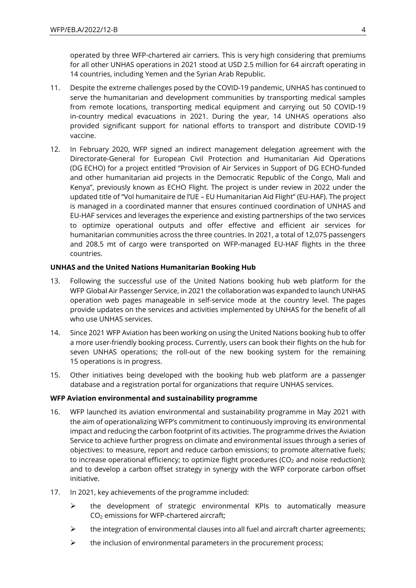operated by three WFP-chartered air carriers. This is very high considering that premiums for all other UNHAS operations in 2021 stood at USD 2.5 million for 64 aircraft operating in 14 countries, including Yemen and the Syrian Arab Republic.

- 11. Despite the extreme challenges posed by the COVID-19 pandemic, UNHAS has continued to serve the humanitarian and development communities by transporting medical samples from remote locations, transporting medical equipment and carrying out 50 COVID-19 in-country medical evacuations in 2021. During the year, 14 UNHAS operations also provided significant support for national efforts to transport and distribute COVID-19 vaccine.
- 12. In February 2020, WFP signed an indirect management delegation agreement with the Directorate-General for European Civil Protection and Humanitarian Aid Operations (DG ECHO) for a project entitled "Provision of Air Services in Support of DG ECHO-funded and other humanitarian aid projects in the Democratic Republic of the Congo, Mali and Kenya", previously known as ECHO Flight. The project is under review in 2022 under the updated title of "Vol humanitaire de l'UE – EU Humanitarian Aid Flight" (EU-HAF). The project is managed in a coordinated manner that ensures continued coordination of UNHAS and EU-HAF services and leverages the experience and existing partnerships of the two services to optimize operational outputs and offer effective and efficient air services for humanitarian communities across the three countries. In 2021, a total of 12,075 passengers and 208.5 mt of cargo were transported on WFP-managed EU-HAF flights in the three countries.

#### **UNHAS and the United Nations Humanitarian Booking Hub**

- 13. Following the successful use of the United Nations booking hub web platform for the WFP Global Air Passenger Service, in 2021 the collaboration was expanded to launch UNHAS operation web pages manageable in self-service mode at the country level. The pages provide updates on the services and activities implemented by UNHAS for the benefit of all who use UNHAS services.
- 14. Since 2021 WFP Aviation has been working on using the United Nations booking hub to offer a more user-friendly booking process. Currently, users can book their flights on the hub for seven UNHAS operations; the roll-out of the new booking system for the remaining 15 operations is in progress.
- 15. Other initiatives being developed with the booking hub web platform are a passenger database and a registration portal for organizations that require UNHAS services.

#### **WFP Aviation environmental and sustainability programme**

- 16. WFP launched its aviation environmental and sustainability programme in May 2021 with the aim of operationalizing WFP's commitment to continuously improving its environmental impact and reducing the carbon footprint of its activities. The programme drives the Aviation Service to achieve further progress on climate and environmental issues through a series of objectives: to measure, report and reduce carbon emissions; to promote alternative fuels; to increase operational efficiency; to optimize flight procedures ( $CO<sub>2</sub>$  and noise reduction); and to develop a carbon offset strategy in synergy with the WFP corporate carbon offset initiative.
- 17. In 2021, key achievements of the programme included:
	- ➢ the development of strategic environmental KPIs to automatically measure CO<sup>2</sup> emissions for WFP-chartered aircraft;
	- $\triangleright$  the integration of environmental clauses into all fuel and aircraft charter agreements;
	- $\triangleright$  the inclusion of environmental parameters in the procurement process;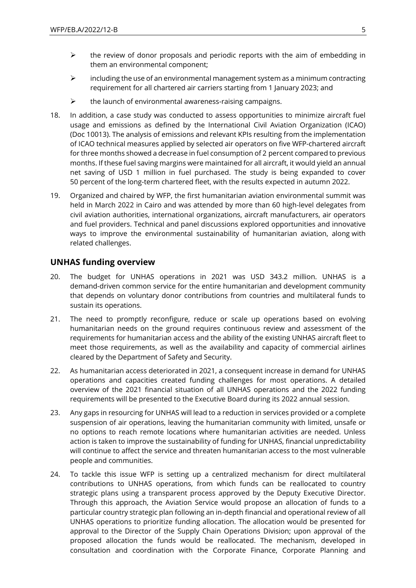- $\triangleright$  the review of donor proposals and periodic reports with the aim of embedding in them an environmental component;
- $\triangleright$  including the use of an environmental management system as a minimum contracting requirement for all chartered air carriers starting from 1 January 2023; and
- $\triangleright$  the launch of environmental awareness-raising campaigns.
- 18. In addition, a case study was conducted to assess opportunities to minimize aircraft fuel usage and emissions as defined by the International Civil Aviation Organization (ICAO) (Doc 10013). The analysis of emissions and relevant KPIs resulting from the implementation of ICAO technical measures applied by selected air operators on five WFP-chartered aircraft for three months showed a decrease in fuel consumption of 2 percent compared to previous months. If these fuel saving margins were maintained for all aircraft, it would yield an annual net saving of USD 1 million in fuel purchased. The study is being expanded to cover 50 percent of the long-term chartered fleet, with the results expected in autumn 2022.
- 19. Organized and chaired by WFP, the first humanitarian aviation environmental summit was held in March 2022 in Cairo and was attended by more than 60 high-level delegates from civil aviation authorities, international organizations, aircraft manufacturers, air operators and fuel providers. Technical and panel discussions explored opportunities and innovative ways to improve the environmental sustainability of humanitarian aviation, along with related challenges.

#### **UNHAS funding overview**

- 20. The budget for UNHAS operations in 2021 was USD 343.2 million. UNHAS is a demand-driven common service for the entire humanitarian and development community that depends on voluntary donor contributions from countries and multilateral funds to sustain its operations.
- 21. The need to promptly reconfigure, reduce or scale up operations based on evolving humanitarian needs on the ground requires continuous review and assessment of the requirements for humanitarian access and the ability of the existing UNHAS aircraft fleet to meet those requirements, as well as the availability and capacity of commercial airlines cleared by the Department of Safety and Security.
- 22. As humanitarian access deteriorated in 2021, a consequent increase in demand for UNHAS operations and capacities created funding challenges for most operations. A detailed overview of the 2021 financial situation of all UNHAS operations and the 2022 funding requirements will be presented to the Executive Board during its 2022 annual session.
- 23. Any gaps in resourcing for UNHAS will lead to a reduction in services provided or a complete suspension of air operations, leaving the humanitarian community with limited, unsafe or no options to reach remote locations where humanitarian activities are needed. Unless action is taken to improve the sustainability of funding for UNHAS, financial unpredictability will continue to affect the service and threaten humanitarian access to the most vulnerable people and communities.
- 24. To tackle this issue WFP is setting up a centralized mechanism for direct multilateral contributions to UNHAS operations, from which funds can be reallocated to country strategic plans using a transparent process approved by the Deputy Executive Director. Through this approach, the Aviation Service would propose an allocation of funds to a particular country strategic plan following an in-depth financial and operational review of all UNHAS operations to prioritize funding allocation. The allocation would be presented for approval to the Director of the Supply Chain Operations Division; upon approval of the proposed allocation the funds would be reallocated. The mechanism, developed in consultation and coordination with the Corporate Finance, Corporate Planning and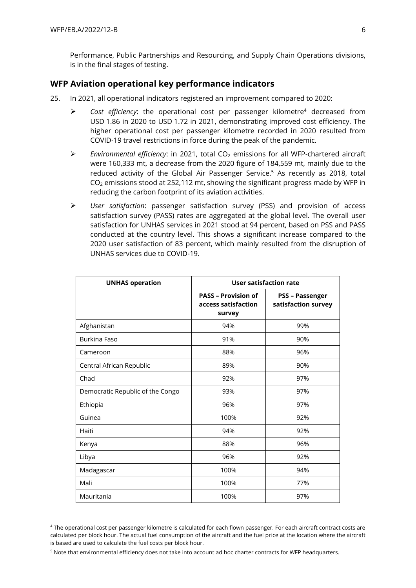Performance, Public Partnerships and Resourcing, and Supply Chain Operations divisions, is in the final stages of testing.

#### **WFP Aviation operational key performance indicators**

- 25. In 2021, all operational indicators registered an improvement compared to 2020:
	- ➢ *Cost efficiency*: the operational cost per passenger kilometre<sup>4</sup> decreased from USD 1.86 in 2020 to USD 1.72 in 2021, demonstrating improved cost efficiency. The higher operational cost per passenger kilometre recorded in 2020 resulted from COVID-19 travel restrictions in force during the peak of the pandemic.
	- ➢ *Environmental efficiency*: in 2021, total CO<sup>2</sup> emissions for all WFP-chartered aircraft were 160,333 mt, a decrease from the 2020 figure of 184,559 mt, mainly due to the reduced activity of the Global Air Passenger Service. <sup>5</sup> As recently as 2018, total  $CO<sub>2</sub>$  emissions stood at 252,112 mt, showing the significant progress made by WFP in reducing the carbon footprint of its aviation activities.
	- ➢ *User satisfaction*: passenger satisfaction survey (PSS) and provision of access satisfaction survey (PASS) rates are aggregated at the global level. The overall user satisfaction for UNHAS services in 2021 stood at 94 percent, based on PSS and PASS conducted at the country level. This shows a significant increase compared to the 2020 user satisfaction of 83 percent, which mainly resulted from the disruption of UNHAS services due to COVID-19.

| <b>UNHAS operation</b>           | User satisfaction rate                                      |                                               |
|----------------------------------|-------------------------------------------------------------|-----------------------------------------------|
|                                  | <b>PASS - Provision of</b><br>access satisfaction<br>survey | <b>PSS - Passenger</b><br>satisfaction survey |
| Afghanistan                      | 94%                                                         | 99%                                           |
| Burkina Faso                     | 91%                                                         | 90%                                           |
| Cameroon                         | 88%                                                         | 96%                                           |
| Central African Republic         | 89%                                                         | 90%                                           |
| Chad                             | 92%                                                         | 97%                                           |
| Democratic Republic of the Congo | 93%                                                         | 97%                                           |
| Ethiopia                         | 96%                                                         | 97%                                           |
| Guinea                           | 100%                                                        | 92%                                           |
| Haiti                            | 94%                                                         | 92%                                           |
| Kenya                            | 88%                                                         | 96%                                           |
| Libya                            | 96%                                                         | 92%                                           |
| Madagascar                       | 100%                                                        | 94%                                           |
| Mali                             | 100%                                                        | 77%                                           |
| Mauritania                       | 100%                                                        | 97%                                           |

<sup>4</sup> The operational cost per passenger kilometre is calculated for each flown passenger. For each aircraft contract costs are calculated per block hour. The actual fuel consumption of the aircraft and the fuel price at the location where the aircraft is based are used to calculate the fuel costs per block hour.

<sup>5</sup> Note that environmental efficiency does not take into account ad hoc charter contracts for WFP headquarters.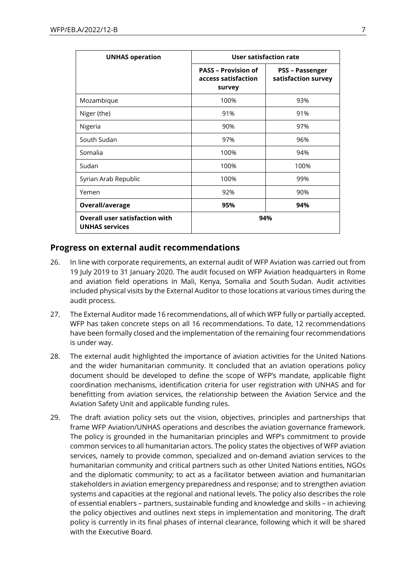| <b>UNHAS operation</b>                                         | User satisfaction rate                                      |                                               |
|----------------------------------------------------------------|-------------------------------------------------------------|-----------------------------------------------|
|                                                                | <b>PASS - Provision of</b><br>access satisfaction<br>survey | <b>PSS - Passenger</b><br>satisfaction survey |
| Mozambique                                                     | 100%                                                        | 93%                                           |
| Niger (the)                                                    | 91%                                                         | 91%                                           |
| Nigeria                                                        | 90%                                                         | 97%                                           |
| South Sudan                                                    | 97%                                                         | 96%                                           |
| Somalia                                                        | 100%                                                        | 94%                                           |
| Sudan                                                          | 100%                                                        | 100%                                          |
| Syrian Arab Republic                                           | 100%                                                        | 99%                                           |
| Yemen                                                          | 92%                                                         | 90%                                           |
| Overall/average                                                | 95%                                                         | 94%                                           |
| <b>Overall user satisfaction with</b><br><b>UNHAS services</b> | 94%                                                         |                                               |

### **Progress on external audit recommendations**

- 26. In line with corporate requirements, an external audit of WFP Aviation was carried out from 19 July 2019 to 31 January 2020. The audit focused on WFP Aviation headquarters in Rome and aviation field operations in Mali, Kenya, Somalia and South Sudan. Audit activities included physical visits by the External Auditor to those locations at various times during the audit process.
- 27. The External Auditor made 16 recommendations, all of which WFP fully or partially accepted. WFP has taken concrete steps on all 16 recommendations. To date, 12 recommendations have been formally closed and the implementation of the remaining four recommendations is under way.
- 28. The external audit highlighted the importance of aviation activities for the United Nations and the wider humanitarian community. It concluded that an aviation operations policy document should be developed to define the scope of WFP's mandate, applicable flight coordination mechanisms, identification criteria for user registration with UNHAS and for benefitting from aviation services, the relationship between the Aviation Service and the Aviation Safety Unit and applicable funding rules.
- 29. The draft aviation policy sets out the vision, objectives, principles and partnerships that frame WFP Aviation/UNHAS operations and describes the aviation governance framework. The policy is grounded in the humanitarian principles and WFP's commitment to provide common services to all humanitarian actors. The policy states the objectives of WFP aviation services, namely to provide common, specialized and on-demand aviation services to the humanitarian community and critical partners such as other United Nations entities, NGOs and the diplomatic community; to act as a facilitator between aviation and humanitarian stakeholders in aviation emergency preparedness and response; and to strengthen aviation systems and capacities at the regional and national levels. The policy also describes the role of essential enablers – partners, sustainable funding and knowledge and skills – in achieving the policy objectives and outlines next steps in implementation and monitoring. The draft policy is currently in its final phases of internal clearance, following which it will be shared with the Executive Board.